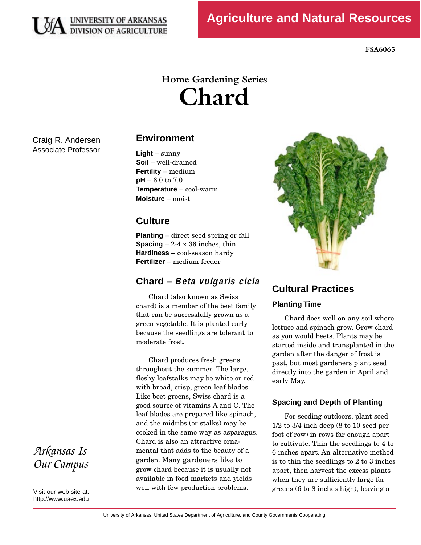

**FSA6065** 

# **Home Gardening Series Chard**

Craig R. Andersen Associate Professor

## **Environment**

**Light** – sunny **Soil** – well-drained **Fertility** – medium **pH** – 6.0 to 7.0 **Temperature** – cool-warm **Moisture** – moist

## **Culture**

**Planting** – direct seed spring or fall **Spacing**  $-2-4 \times 36$  inches, thin **Hardiness** – cool-season hardy **Fertilizer** – medium feeder

# **Chard – Beta vulgaris cicla**

Chard (also known as Swiss<br>chard) is a member of the beet family that can be successfully grown as a green vegetable. It is planted early green vegetable. It is planted early because the seedlings are tolerant to moderate frost.

Chard produces fresh greens<br>throughout the summer. The large, fleshy leafstalks may be white or red with broad, crisp, green leaf blades. Like beet greens, Swiss chard is a good source of vitamins A and C. The leaf blades are prepared like spinach, and the midribs (or stalks) may be cooked in the same way as asparagus. Chard is also an attractive ornamental that adds to the beauty of a garden. Many gardeners like to grow chard because it is usually not available in food markets and vields available in food markets and yields well with few production problems.



# **Cultural Practices**

## **Planting Time**

Chard does well on any soil where<br>lettuce and spinach grow. Grow chard as you would beets. Plants may be started inside and transplanted in the garden after the danger of frost is past, but most gardeners plant seed past, but most gardeners plant seed directly into the garden in April and early May.

## **Spacing and Depth of Planting**

For seeding outdoors, plant seed<br>1/2 to 3/4 inch deep (8 to 10 seed per foot of row) in rows far enough apart to cultivate. Thin the seedlings to 4 to 6 inches apart. An alternative method is to thin the seedlings to  $2$  to  $3$  inches apart, then harvest the excess plants when they are sufficiently large for when they are sufficiently large for  $g$ reens ( $\sigma$  to  $\sigma$  inches high), leaving a

*Arkansas Is Our Campus* 

Visit our web site at: http://www.uaex.edu